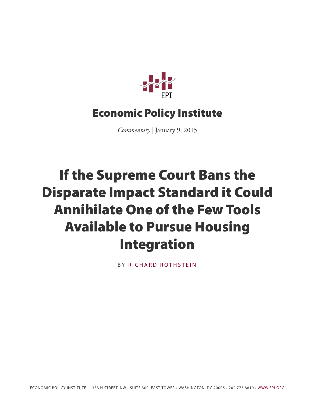

# **Economic Policy Institute**

*Commentary* | January 9, 2015

# **If the Supreme Court Bans the Disparate Impact Standard it Could Annihilate One of the Few Tools Available to Pursue Housing Integration**

BY [RICHARD R](http://www.epi.org/people/richard-rothstein/)OTHSTEIN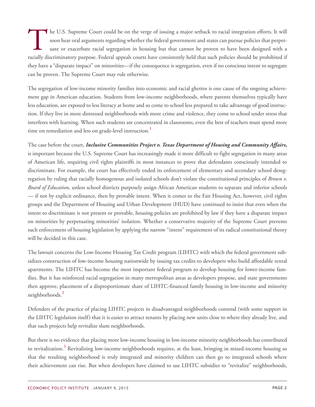The U.S. Supreme Court could be on the verge of issuing a major setback to racial integration efforts. It will<br>soon hear oral arguments regarding whether the federal government and states can pursue policies that perpet-<br>u he U.S. Supreme Court could be on the verge of issuing a major setback to racial integration efforts. It will soon hear oral arguments regarding whether the federal government and states can pursue policies that perpetuate or exacerbate racial segregation in housing but that cannot be proven to have been designed with a they have a "disparate impact" on minorities—if the consequence is segregation, even if no conscious intent to segregate can be proven. The Supreme Court may rule otherwise.

The segregation of low-income minority families into economic and racial ghettos is one cause of the ongoing achievement gap in American education. Students from low-income neighborhoods, where parents themselves typically have less education, are exposed to less literacy at home and so come to school less prepared to take advantage of good instruction. If they live in more distressed neighborhoods with more crime and violence, they come to school under stress that interferes with learning. When such students are concentrated in classrooms, even the best of teachers must spend more time on remediation and less on grade-level instruction.**[1](#page-5-0)**

<span id="page-1-0"></span>The case before the court, *Inclusive Communities Project v. Texas Department of Housing and Community Affairs***,** is important because the U.S. Supreme Court has increasingly made it more difficult to fight segregation in many areas of American life, requiring civil rights plaintiffs in most instances to prove that defendants consciously intended to discriminate. For example, the court has effectively ended its enforcement of elementary and secondary school desegregation by ruling that racially homogenous and isolated schools don't violate the constitutional principles of *Brown v. Board of Education,* unless school districts purposely assign African American students to separate and inferior schools — if not by explicit ordinance, then by provable intent. When it comes to the Fair Housing Act, however, civil rights groups and the Department of Housing and Urban Development (HUD) have continued to insist that even when the intent to discriminate is not present or provable, housing policies are prohibited by law if they have a disparate impact on minorities by perpetuating minorities' isolation. Whether a conservative majority of the Supreme Court prevents such enforcement of housing legislation by applying the narrow "intent" requirement of its radical constitutional theory will be decided in this case.

The lawsuit concerns the Low-Income Housing Tax Credit program (LIHTC) with which the federal government subsidizes construction of low-income housing nationwide by issuing tax credits to developers who build affordable rental apartments. The LIHTC has become the most important federal program to develop housing for lower-income families. But it has reinforced racial segregation in many metropolitan areas as developers propose, and state governments then approve, placement of a disproportionate share of LIHTC-financed family housing in low-income and minority neighborhoods.**[2](#page-5-1)**

<span id="page-1-1"></span>Defenders of the practice of placing LIHTC projects in disadvantaged neighborhoods contend (with some support in the LIHTC legislation itself) that it is easier to attract tenants by placing new units close to where they already live, and that such projects help revitalize slum neighborhoods.

<span id="page-1-2"></span>But there is no evidence that placing more low-income housing in low-income minority neighborhoods has contributed to revitalization.**[3](#page-5-2)** Revitalizing low-income neighborhoods requires, at the least, bringing in mixed-income housing so that the resulting neighborhood is truly integrated and minority children can then go to integrated schools where their achievement can rise. But when developers have claimed to use LIHTC subsidies to "revitalize" neighborhoods,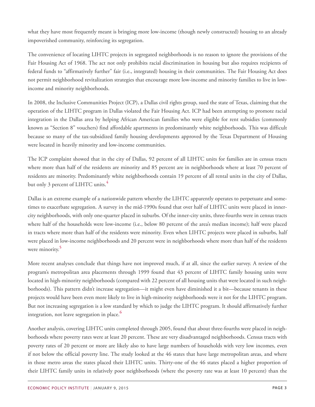what they have most frequently meant is bringing more low-income (though newly constructed) housing to an already impoverished community, reinforcing its segregation.

The convenience of locating LIHTC projects in segregated neighborhoods is no reason to ignore the provisions of the Fair Housing Act of 1968. The act not only prohibits racial discrimination in housing but also requires recipients of federal funds to "affirmatively further" fair (i.e., integrated) housing in their communities. The Fair Housing Act does not permit neighborhood revitalization strategies that encourage more low-income and minority families to live in lowincome and minority neighborhoods.

In 2008, the Inclusive Communities Project (ICP), a Dallas civil rights group, sued the state of Texas, claiming that the operation of the LIHTC program in Dallas violated the Fair Housing Act. ICP had been attempting to promote racial integration in the Dallas area by helping African American families who were eligible for rent subsidies (commonly known as "Section 8" vouchers) find affordable apartments in predominantly white neighborhoods. This was difficult because so many of the tax-subsidized family housing developments approved by the Texas Department of Housing were located in heavily minority and low-income communities.

The ICP complaint showed that in the city of Dallas, 92 percent of all LIHTC units for families are in census tracts where more than half of the residents are minority and 85 percent are in neighborhoods where at least 70 percent of residents are minority. Predominantly white neighborhoods contain 19 percent of all rental units in the city of Dallas, but only 3 percent of LIHTC units.**[4](#page-5-3)**

<span id="page-2-0"></span>Dallas is an extreme example of a nationwide pattern whereby the LIHTC apparently operates to perpetuate and sometimes to exacerbate segregation. A survey in the mid-1990s found that over half of LIHTC units were placed in innercity neighborhoods, with only one-quarter placed in suburbs. Of the inner-city units, three-fourths were in census tracts where half of the households were low-income (i.e., below 80 percent of the area's median income); half were placed in tracts where more than half of the residents were minority. Even when LIHTC projects were placed in suburbs, half were placed in low-income neighborhoods and 20 percent were in neighborhoods where more than half of the residents were minority. **[5](#page-5-4)**

<span id="page-2-1"></span>More recent analyses conclude that things have not improved much, if at all, since the earlier survey. A review of the program's metropolitan area placements through 1999 found that 43 percent of LIHTC family housing units were located in high-minority neighborhoods (compared with 22 percent of all housing units that were located in such neighborhoods). This pattern didn't increase segregation—it might even have diminished it a bit—because tenants in these projects would have been even more likely to live in high-minority neighborhoods were it not for the LIHTC program. But not increasing segregation is a low standard by which to judge the LIHTC program. It should affirmatively further integration, not leave segregation in place.**[6](#page-5-5)**

<span id="page-2-2"></span>Another analysis, covering LIHTC units completed through 2005, found that about three-fourths were placed in neighborhoods where poverty rates were at least 20 percent. These are very disadvantaged neighborhoods. Census tracts with poverty rates of 20 percent or more are likely also to have large numbers of households with very low incomes, even if not below the official poverty line. The study looked at the 46 states that have large metropolitan areas, and where in those metro areas the states placed their LIHTC units. Thirty-one of the 46 states placed a higher proportion of their LIHTC family units in relatively poor neighborhoods (where the poverty rate was at least 10 percent) than the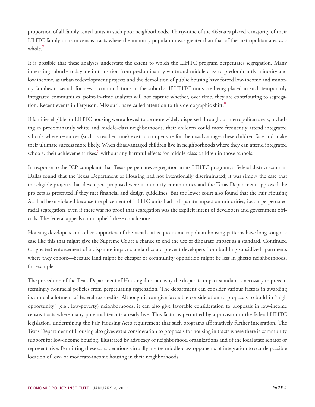<span id="page-3-0"></span>proportion of all family rental units in such poor neighborhoods. Thirty-nine of the 46 states placed a majority of their LIHTC family units in census tracts where the minority population was greater than that of the metropolitan area as a whole.**[7](#page-5-6)**

It is possible that these analyses understate the extent to which the LIHTC program perpetuates segregation. Many inner-ring suburbs today are in transition from predominantly white and middle class to predominantly minority and low income, as urban redevelopment projects and the demolition of public housing have forced low-income and minority families to search for new accommodations in the suburbs. If LIHTC units are being placed in such temporarily integrated communities, point-in-time analyses will not capture whether, over time, they are contributing to segregation. Recent events in Ferguson, Missouri, have called attention to this demographic shift.**[8](#page-5-7)**

<span id="page-3-1"></span>If families eligible for LIHTC housing were allowed to be more widely dispersed throughout metropolitan areas, including in predominantly white and middle-class neighborhoods, their children could more frequently attend integrated schools where resources (such as teacher time) exist to compensate for the disadvantages these children face and make their ultimate success more likely. When disadvantaged children live in neighborhoods where they can attend integrated schools, their achievement rises,**[9](#page-6-0)** without any harmful effects for middle-class children in those schools.

<span id="page-3-2"></span>In response to the ICP complaint that Texas perpetuates segregation in its LIHTC program, a federal district court in Dallas found that the Texas Department of Housing had not intentionally discriminated; it was simply the case that the eligible projects that developers proposed were in minority communities and the Texas Department approved the projects as presented if they met financial and design guidelines. But the lower court also found that the Fair Housing Act had been violated because the placement of LIHTC units had a disparate impact on minorities, i.e., it perpetuated racial segregation, even if there was no proof that segregation was the explicit intent of developers and government officials. The federal appeals court upheld these conclusions.

Housing developers and other supporters of the racial status quo in metropolitan housing patterns have long sought a case like this that might give the Supreme Court a chance to end the use of disparate impact as a standard. Continued (or greater) enforcement of a disparate impact standard could prevent developers from building subsidized apartments where they choose—because land might be cheaper or community opposition might be less in ghetto neighborhoods, for example.

The procedures of the Texas Department of Housing illustrate why the disparate impact standard is necessary to prevent seemingly nonracial policies from perpetuating segregation. The department can consider various factors in awarding its annual allotment of federal tax credits. Although it can give favorable consideration to proposals to build in "high opportunity" (e.g., low-poverty) neighborhoods, it can also give favorable consideration to proposals in low-income census tracts where many potential tenants already live. This factor is permitted by a provision in the federal LIHTC legislation, undermining the Fair Housing Act's requirement that such programs affirmatively further integration. The Texas Department of Housing also gives extra consideration to proposals for housing in tracts where there is community support for low-income housing, illustrated by advocacy of neighborhood organizations and of the local state senator or representative. Permitting these considerations virtually invites middle-class opponents of integration to scuttle possible location of low- or moderate-income housing in their neighborhoods.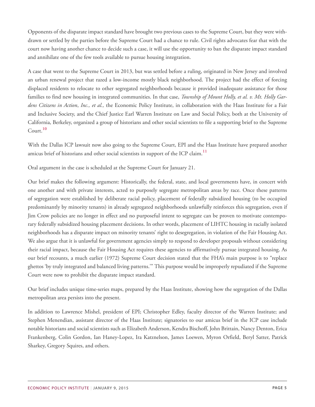Opponents of the disparate impact standard have brought two previous cases to the Supreme Court, but they were withdrawn or settled by the parties before the Supreme Court had a chance to rule. Civil rights advocates fear that with the court now having another chance to decide such a case, it will use the opportunity to ban the disparate impact standard and annihilate one of the few tools available to pursue housing integration.

A case that went to the Supreme Court in 2013, but was settled before a ruling, originated in New Jersey and involved an urban renewal project that razed a low-income mostly black neighborhood. The project had the effect of forcing displaced residents to relocate to other segregated neighborhoods because it provided inadequate assistance for those families to find new housing in integrated communities. In that case, *Township of Mount Holly, et al. v. Mt. Holly Gardens Citizens in Action*, *Inc., et al.,* the Economic Policy Institute, in collaboration with the Haas Institute for a Fair and Inclusive Society, and the Chief Justice Earl Warren Institute on Law and Social Policy, both at the University of California, Berkeley, organized a group of historians and other social scientists to file a supporting brief to the Supreme Court.**[10](#page-6-1)**

<span id="page-4-1"></span><span id="page-4-0"></span>With the Dallas ICP lawsuit now also going to the Supreme Court, EPI and the Haas Institute have prepared another amicus brief of historians and other social scientists in support of the ICP claim.**[11](#page-6-2)**

Oral argument in the case is scheduled at the Supreme Court for January 21.

Our brief makes the following argument: Historically, the federal, state, and local governments have, in concert with one another and with private interests, acted to purposely segregate metropolitan areas by race. Once these patterns of segregation were established by deliberate racial policy, placement of federally subsidized housing (to be occupied predominantly by minority tenants) in already segregated neighborhoods unlawfully reinforces this segregation, even if Jim Crow policies are no longer in effect and no purposeful intent to segregate can be proven to motivate contemporary federally subsidized housing placement decisions. In other words, placement of LIHTC housing in racially isolated neighborhoods has a disparate impact on minority tenants' right to desegregation, in violation of the Fair Housing Act. We also argue that it is unlawful for government agencies simply to respond to developer proposals without considering their racial impact, because the Fair Housing Act requires these agencies to affirmatively pursue integrated housing. As our brief recounts, a much earlier (1972) Supreme Court decision stated that the FHA's main purpose is to "replace ghettos 'by truly integrated and balanced living patterns.'" This purpose would be improperly repudiated if the Supreme Court were now to prohibit the disparate impact standard.

Our brief includes unique time-series maps, prepared by the Haas Institute, showing how the segregation of the Dallas metropolitan area persists into the present.

In addition to Lawrence Mishel, president of EPI; Christopher Edley, faculty director of the Warren Institute; and Stephen Menendian, assistant director of the Haas Institute; signatories to our amicus brief in the ICP case include notable historians and social scientists such as Elizabeth Anderson, Kendra Bischoff, John Brittain, Nancy Denton, Erica Frankenberg, Colin Gordon, Ian Haney-Lopez, Ira Katznelson, James Loewen, Myron Orfield, Beryl Satter, Patrick Sharkey, Gregory Squires, and others.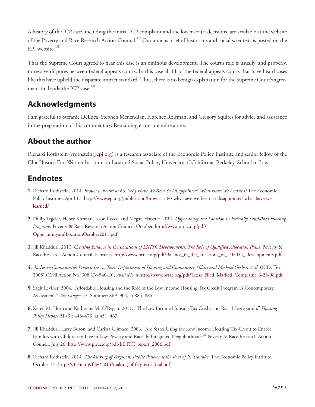<span id="page-5-9"></span><span id="page-5-8"></span>A history of the ICP case, including the initial ICP complaint and the lower-court decisions, are available at the website of the Poverty and Race Research Action Council.**[12](#page-6-3)** Our amicus brief of historians and social scientists is posted on the EPI website.**[13](#page-6-4)**

That the Supreme Court agreed to hear this case is an ominous development. The court's role is usually, and properly, to resolve disputes between federal appeals courts. In this case all 11 of the federal appeals courts that have heard cases like this have upheld the disparate impact standard. Thus, there is no benign explanation for the Supreme Court's agreement to decide the ICP case.**[14](#page-6-5)**

#### <span id="page-5-10"></span>**Acknowledgments**

I am grateful to Stefanie DeLuca, Stephen Menendian, Florence Roisman, and Gregory Squires for advice and assistance in the preparation of this commentary. Remaining errors are mine alone.

## **About the author**

Richard Rothstein [\(rrothstein@epi.org](mailto:rrothstein@epi.org)) is a research associate of the Economic Policy Institute and senior fellow of the Chief Justice Earl Warren Institute on Law and Social Policy, University of California, Berkeley, School of Law.

## **Endnotes**

- <span id="page-5-0"></span>**[1.](#page-1-0)** Richard Rothstein. 2014. *Brown v. Board at 60: Why Have We Been So Disappointed? What Have We Learned?* The Economic Policy Institute, April 17. [http://www.epi.org/publication/brown-at-60-why-have-we-been-so-disappointed-what-have-we](http://www.epi.org/publication/brown-at-60-why-have-we-been-so-disappointed-what-have-we-learned/)[learned/](http://www.epi.org/publication/brown-at-60-why-have-we-been-so-disappointed-what-have-we-learned/)
- <span id="page-5-1"></span>**[2.](#page-1-1)** Philip Tegeler, Henry Korman, Jason Reece, and Megan Haberle. 2011. *Opportunity and Location in Federally Subsidized Housing Programs.* Poverty & Race Research Action Council, October. [http://www.prrac.org/pdf/](http://www.prrac.org/pdf/OpportunityandLocationOctober2011.pdf) [OpportunityandLocationOctober2011.pdf](http://www.prrac.org/pdf/OpportunityandLocationOctober2011.pdf)
- <span id="page-5-2"></span>**[3.](#page-1-2)** Jill Khadduri. 2013. *[Creating Balance in the Locations of LIHTC Developments: The Role of Qualified Allocation Plans](http://www.prrac.org/pdf/Balance_in_the_Locations_of_LIHTC_Developments.pdf).* Poverty & Race Research Action Council, February. [http://www.prrac.org/pdf/Balance\\_in\\_the\\_Locations\\_of\\_LIHTC\\_Developments.pdf](http://www.prrac.org/pdf/Balance_in_the_Locations_of_LIHTC_Developments.pdf)
- <span id="page-5-3"></span>**[4.](#page-2-0)** *Inclusive Communities Project, Inc. v. Texas Department of Housing and Community Affairs and Michael Gerber, et al.* (N.D. Tex. 2008) (Civil Action No. 308 CV-546-D), *available at* [http://www.prrac.org/pdf/Texas\\_Filed\\_Marked\\_Complaint\\_3-28-08.pdf](http://www.prrac.org/pdf/Texas_Filed_Marked_Complaint_3-28-08.pdf)
- <span id="page-5-4"></span>**[5.](#page-2-1)** Sagit Leviner. 2004. "Affordable Housing and the Role of the Low Income Housing Tax Credit Program: A Contemporary Assessment." *Tax Lawyer* 57, Summer: 869–904, at 884–885.
- <span id="page-5-5"></span>**[6.](#page-2-2)** Keren M. Horn and Katherine M. O'Regan. 2011. "The Low Income Housing Tax Credit and Racial Segregation." *Housing Policy Debate* 21 (3): 443–473, at 451, 467.
- <span id="page-5-6"></span>**[7.](#page-3-0)** Jill Khadduri, Larry Buron, and Carissa Climaco. 2006. "Are States Using the Low Income Housing Tax Credit to Enable Families with Children to Live in Low Poverty and Racially Integrated Neighborhoods?" Poverty & Race Research Action Council, July 26. [http://www.prrac.org/pdf/LIHTC\\_report\\_2006.pdf](http://www.prrac.org/pdf/LIHTC_report_2006.pdf)
- <span id="page-5-7"></span>**[8.](#page-3-1)** Richard Rothstein. 2014. *The Making of Ferguson: Public Policies at the Root of Its Troubles*. The Economic Policy Institute, October 15. <http://s3.epi.org/files/2014/making-of-ferguson-final.pdf>